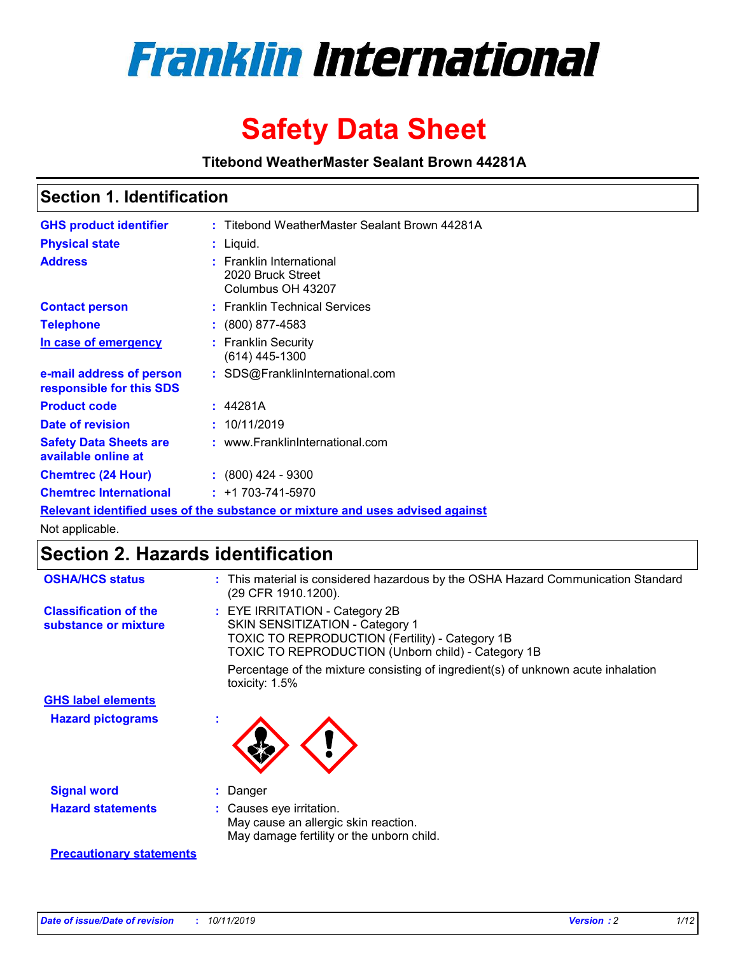

# **Safety Data Sheet**

**Titebond WeatherMaster Sealant Brown 44281A**

### **Section 1. Identification**

| <b>GHS product identifier</b>                                                 | : Titebond WeatherMaster Sealant Brown 44281A                      |  |  |  |  |
|-------------------------------------------------------------------------------|--------------------------------------------------------------------|--|--|--|--|
| <b>Physical state</b>                                                         | : Liquid.                                                          |  |  |  |  |
| <b>Address</b>                                                                | : Franklin International<br>2020 Bruck Street<br>Columbus OH 43207 |  |  |  |  |
| <b>Contact person</b>                                                         | : Franklin Technical Services                                      |  |  |  |  |
| <b>Telephone</b>                                                              | $\colon$ (800) 877-4583                                            |  |  |  |  |
| In case of emergency                                                          | : Franklin Security<br>$(614)$ 445-1300                            |  |  |  |  |
| e-mail address of person<br>responsible for this SDS                          | : SDS@FranklinInternational.com                                    |  |  |  |  |
| <b>Product code</b>                                                           | : 44281A                                                           |  |  |  |  |
| Date of revision                                                              | : 10/11/2019                                                       |  |  |  |  |
| <b>Safety Data Sheets are</b><br>available online at                          | : www.FranklinInternational.com                                    |  |  |  |  |
| <b>Chemtrec (24 Hour)</b>                                                     | $\div$ (800) 424 - 9300                                            |  |  |  |  |
| <b>Chemtrec International</b>                                                 | $: +1703 - 741 - 5970$                                             |  |  |  |  |
| Relevant identified uses of the substance or mixture and uses advised against |                                                                    |  |  |  |  |

Not applicable.

## **Section 2. Hazards identification**

| <b>OSHA/HCS status</b>                               | : This material is considered hazardous by the OSHA Hazard Communication Standard<br>(29 CFR 1910.1200).                                                                                 |
|------------------------------------------------------|------------------------------------------------------------------------------------------------------------------------------------------------------------------------------------------|
| <b>Classification of the</b><br>substance or mixture | : EYE IRRITATION - Category 2B<br>SKIN SENSITIZATION - Category 1<br><b>TOXIC TO REPRODUCTION (Fertility) - Category 1B</b><br><b>TOXIC TO REPRODUCTION (Unborn child) - Category 1B</b> |
|                                                      | Percentage of the mixture consisting of ingredient(s) of unknown acute inhalation<br>toxicity: $1.5\%$                                                                                   |
| <b>GHS label elements</b>                            |                                                                                                                                                                                          |
| <b>Hazard pictograms</b>                             |                                                                                                                                                                                          |
| <b>Signal word</b>                                   | : Danger                                                                                                                                                                                 |
| <b>Hazard statements</b>                             | : Causes eye irritation.<br>May cause an allergic skin reaction.<br>May damage fertility or the unborn child.                                                                            |
| <b>Precautionary statements</b>                      |                                                                                                                                                                                          |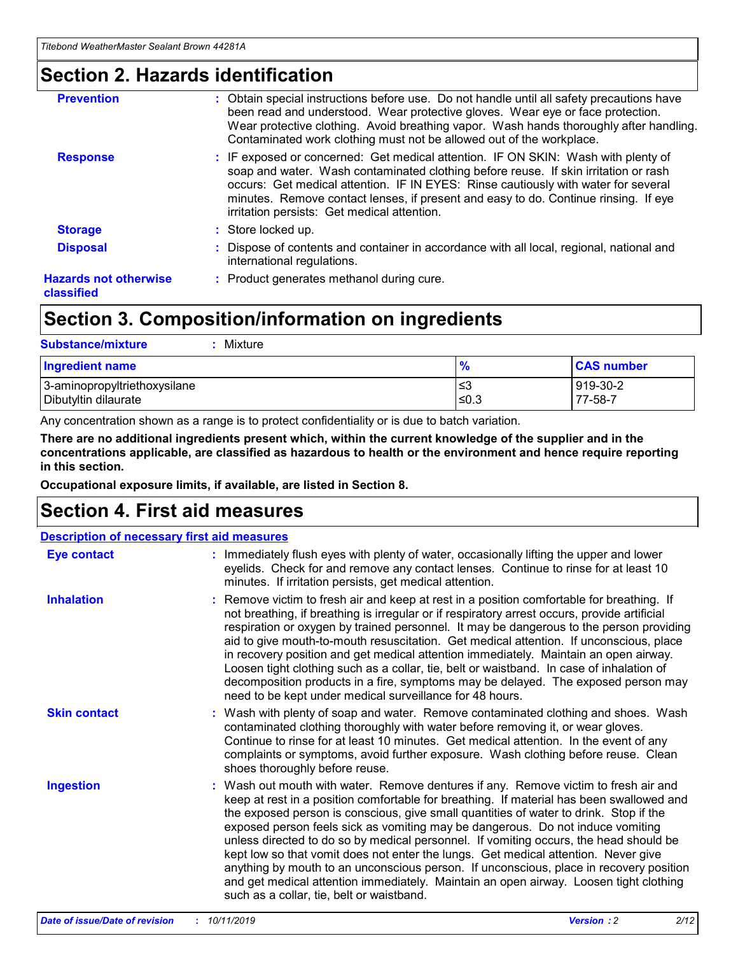### **Section 2. Hazards identification**

| <b>Prevention</b>                          | : Obtain special instructions before use. Do not handle until all safety precautions have<br>been read and understood. Wear protective gloves. Wear eye or face protection.<br>Wear protective clothing. Avoid breathing vapor. Wash hands thoroughly after handling.<br>Contaminated work clothing must not be allowed out of the workplace.                                                        |
|--------------------------------------------|------------------------------------------------------------------------------------------------------------------------------------------------------------------------------------------------------------------------------------------------------------------------------------------------------------------------------------------------------------------------------------------------------|
| <b>Response</b>                            | : IF exposed or concerned: Get medical attention. IF ON SKIN: Wash with plenty of<br>soap and water. Wash contaminated clothing before reuse. If skin irritation or rash<br>occurs: Get medical attention. IF IN EYES: Rinse cautiously with water for several<br>minutes. Remove contact lenses, if present and easy to do. Continue rinsing. If eye<br>irritation persists: Get medical attention. |
| <b>Storage</b>                             | : Store locked up.                                                                                                                                                                                                                                                                                                                                                                                   |
| <b>Disposal</b>                            | : Dispose of contents and container in accordance with all local, regional, national and<br>international regulations.                                                                                                                                                                                                                                                                               |
| <b>Hazards not otherwise</b><br>classified | : Product generates methanol during cure.                                                                                                                                                                                                                                                                                                                                                            |
|                                            |                                                                                                                                                                                                                                                                                                                                                                                                      |

### **Section 3. Composition/information on ingredients**

| <b>Substance/mixture</b><br>: Mixture                |               |                     |
|------------------------------------------------------|---------------|---------------------|
| Ingredient name                                      | $\frac{9}{6}$ | <b>CAS number</b>   |
| 3-aminopropyltriethoxysilane<br>Dibutyltin dilaurate | צ≥<br>≤0.3    | 919-30-2<br>77-58-7 |

Any concentration shown as a range is to protect confidentiality or is due to batch variation.

**There are no additional ingredients present which, within the current knowledge of the supplier and in the concentrations applicable, are classified as hazardous to health or the environment and hence require reporting in this section.**

**Occupational exposure limits, if available, are listed in Section 8.**

### **Section 4. First aid measures**

| <b>Description of necessary first aid measures</b> |                                                                                                                                                                                                                                                                                                                                                                                                                                                                                                                                                                                                                                                                                                                                                                           |  |  |  |
|----------------------------------------------------|---------------------------------------------------------------------------------------------------------------------------------------------------------------------------------------------------------------------------------------------------------------------------------------------------------------------------------------------------------------------------------------------------------------------------------------------------------------------------------------------------------------------------------------------------------------------------------------------------------------------------------------------------------------------------------------------------------------------------------------------------------------------------|--|--|--|
| <b>Eye contact</b>                                 | : Immediately flush eyes with plenty of water, occasionally lifting the upper and lower<br>eyelids. Check for and remove any contact lenses. Continue to rinse for at least 10<br>minutes. If irritation persists, get medical attention.                                                                                                                                                                                                                                                                                                                                                                                                                                                                                                                                 |  |  |  |
| <b>Inhalation</b>                                  | : Remove victim to fresh air and keep at rest in a position comfortable for breathing. If<br>not breathing, if breathing is irregular or if respiratory arrest occurs, provide artificial<br>respiration or oxygen by trained personnel. It may be dangerous to the person providing<br>aid to give mouth-to-mouth resuscitation. Get medical attention. If unconscious, place<br>in recovery position and get medical attention immediately. Maintain an open airway.<br>Loosen tight clothing such as a collar, tie, belt or waistband. In case of inhalation of<br>decomposition products in a fire, symptoms may be delayed. The exposed person may<br>need to be kept under medical surveillance for 48 hours.                                                       |  |  |  |
| <b>Skin contact</b>                                | : Wash with plenty of soap and water. Remove contaminated clothing and shoes. Wash<br>contaminated clothing thoroughly with water before removing it, or wear gloves.<br>Continue to rinse for at least 10 minutes. Get medical attention. In the event of any<br>complaints or symptoms, avoid further exposure. Wash clothing before reuse. Clean<br>shoes thoroughly before reuse.                                                                                                                                                                                                                                                                                                                                                                                     |  |  |  |
| <b>Ingestion</b>                                   | : Wash out mouth with water. Remove dentures if any. Remove victim to fresh air and<br>keep at rest in a position comfortable for breathing. If material has been swallowed and<br>the exposed person is conscious, give small quantities of water to drink. Stop if the<br>exposed person feels sick as vomiting may be dangerous. Do not induce vomiting<br>unless directed to do so by medical personnel. If vomiting occurs, the head should be<br>kept low so that vomit does not enter the lungs. Get medical attention. Never give<br>anything by mouth to an unconscious person. If unconscious, place in recovery position<br>and get medical attention immediately. Maintain an open airway. Loosen tight clothing<br>such as a collar, tie, belt or waistband. |  |  |  |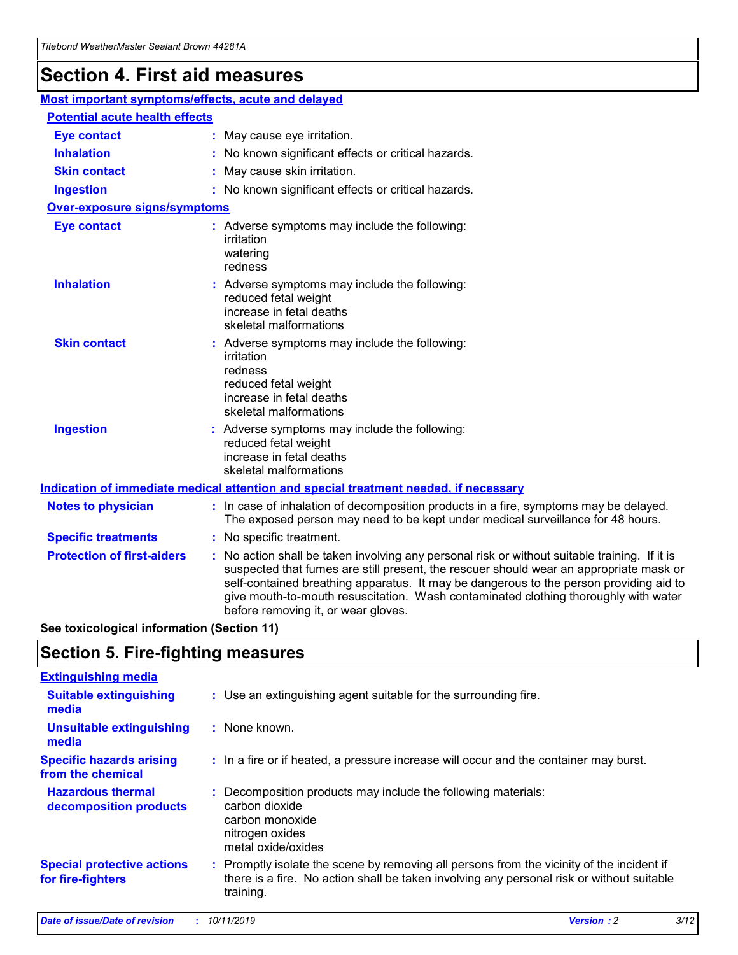## **Section 4. First aid measures**

| Most important symptoms/effects, acute and delayed |  |                                                                                                                                                                                                                                                                                                                                                                                                                 |  |  |
|----------------------------------------------------|--|-----------------------------------------------------------------------------------------------------------------------------------------------------------------------------------------------------------------------------------------------------------------------------------------------------------------------------------------------------------------------------------------------------------------|--|--|
| <b>Potential acute health effects</b>              |  |                                                                                                                                                                                                                                                                                                                                                                                                                 |  |  |
| Eye contact                                        |  | : May cause eye irritation.                                                                                                                                                                                                                                                                                                                                                                                     |  |  |
| <b>Inhalation</b>                                  |  | : No known significant effects or critical hazards.                                                                                                                                                                                                                                                                                                                                                             |  |  |
| <b>Skin contact</b>                                |  | : May cause skin irritation.                                                                                                                                                                                                                                                                                                                                                                                    |  |  |
| <b>Ingestion</b>                                   |  | : No known significant effects or critical hazards.                                                                                                                                                                                                                                                                                                                                                             |  |  |
| Over-exposure signs/symptoms                       |  |                                                                                                                                                                                                                                                                                                                                                                                                                 |  |  |
| <b>Eye contact</b>                                 |  | : Adverse symptoms may include the following:<br>irritation<br>watering<br>redness                                                                                                                                                                                                                                                                                                                              |  |  |
| <b>Inhalation</b>                                  |  | : Adverse symptoms may include the following:<br>reduced fetal weight<br>increase in fetal deaths<br>skeletal malformations                                                                                                                                                                                                                                                                                     |  |  |
| <b>Skin contact</b>                                |  | : Adverse symptoms may include the following:<br>irritation<br>redness<br>reduced fetal weight<br>increase in fetal deaths<br>skeletal malformations                                                                                                                                                                                                                                                            |  |  |
| <b>Ingestion</b>                                   |  | : Adverse symptoms may include the following:<br>reduced fetal weight<br>increase in fetal deaths<br>skeletal malformations                                                                                                                                                                                                                                                                                     |  |  |
|                                                    |  | <b>Indication of immediate medical attention and special treatment needed, if necessary</b>                                                                                                                                                                                                                                                                                                                     |  |  |
| <b>Notes to physician</b>                          |  | : In case of inhalation of decomposition products in a fire, symptoms may be delayed.<br>The exposed person may need to be kept under medical surveillance for 48 hours.                                                                                                                                                                                                                                        |  |  |
| <b>Specific treatments</b>                         |  | : No specific treatment.                                                                                                                                                                                                                                                                                                                                                                                        |  |  |
| <b>Protection of first-aiders</b>                  |  | : No action shall be taken involving any personal risk or without suitable training. If it is<br>suspected that fumes are still present, the rescuer should wear an appropriate mask or<br>self-contained breathing apparatus. It may be dangerous to the person providing aid to<br>give mouth-to-mouth resuscitation. Wash contaminated clothing thoroughly with water<br>before removing it, or wear gloves. |  |  |

**See toxicological information (Section 11)**

### **Section 5. Fire-fighting measures**

| <b>Extinguishing media</b>                             |                                                                                                                                                                                                     |
|--------------------------------------------------------|-----------------------------------------------------------------------------------------------------------------------------------------------------------------------------------------------------|
| <b>Suitable extinguishing</b><br>media                 | : Use an extinguishing agent suitable for the surrounding fire.                                                                                                                                     |
| <b>Unsuitable extinguishing</b><br>media               | $:$ None known.                                                                                                                                                                                     |
| <b>Specific hazards arising</b><br>from the chemical   | : In a fire or if heated, a pressure increase will occur and the container may burst.                                                                                                               |
| <b>Hazardous thermal</b><br>decomposition products     | : Decomposition products may include the following materials:<br>carbon dioxide<br>carbon monoxide<br>nitrogen oxides<br>metal oxide/oxides                                                         |
| <b>Special protective actions</b><br>for fire-fighters | : Promptly isolate the scene by removing all persons from the vicinity of the incident if<br>there is a fire. No action shall be taken involving any personal risk or without suitable<br>training. |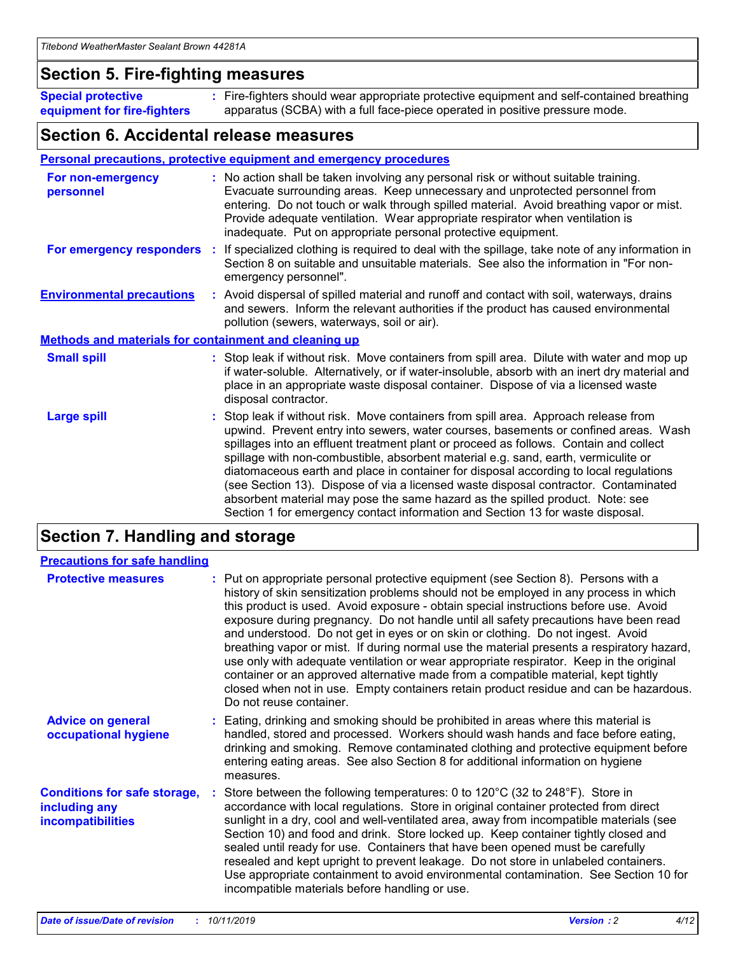### **Section 5. Fire-fighting measures**

**Special protective equipment for fire-fighters** Fire-fighters should wear appropriate protective equipment and self-contained breathing **:** apparatus (SCBA) with a full face-piece operated in positive pressure mode.

### **Section 6. Accidental release measures**

#### **Personal precautions, protective equipment and emergency procedures**

| For non-emergency<br>personnel   |                                                              | : No action shall be taken involving any personal risk or without suitable training.<br>Evacuate surrounding areas. Keep unnecessary and unprotected personnel from<br>entering. Do not touch or walk through spilled material. Avoid breathing vapor or mist.<br>Provide adequate ventilation. Wear appropriate respirator when ventilation is<br>inadequate. Put on appropriate personal protective equipment.                                                                                                                                                                                                                                                                                             |  |  |  |
|----------------------------------|--------------------------------------------------------------|--------------------------------------------------------------------------------------------------------------------------------------------------------------------------------------------------------------------------------------------------------------------------------------------------------------------------------------------------------------------------------------------------------------------------------------------------------------------------------------------------------------------------------------------------------------------------------------------------------------------------------------------------------------------------------------------------------------|--|--|--|
|                                  |                                                              | For emergency responders : If specialized clothing is required to deal with the spillage, take note of any information in<br>Section 8 on suitable and unsuitable materials. See also the information in "For non-<br>emergency personnel".                                                                                                                                                                                                                                                                                                                                                                                                                                                                  |  |  |  |
| <b>Environmental precautions</b> |                                                              | : Avoid dispersal of spilled material and runoff and contact with soil, waterways, drains<br>and sewers. Inform the relevant authorities if the product has caused environmental<br>pollution (sewers, waterways, soil or air).                                                                                                                                                                                                                                                                                                                                                                                                                                                                              |  |  |  |
|                                  | <b>Methods and materials for containment and cleaning up</b> |                                                                                                                                                                                                                                                                                                                                                                                                                                                                                                                                                                                                                                                                                                              |  |  |  |
| <b>Small spill</b>               |                                                              | : Stop leak if without risk. Move containers from spill area. Dilute with water and mop up<br>if water-soluble. Alternatively, or if water-insoluble, absorb with an inert dry material and<br>place in an appropriate waste disposal container. Dispose of via a licensed waste<br>disposal contractor.                                                                                                                                                                                                                                                                                                                                                                                                     |  |  |  |
| <b>Large spill</b>               |                                                              | : Stop leak if without risk. Move containers from spill area. Approach release from<br>upwind. Prevent entry into sewers, water courses, basements or confined areas. Wash<br>spillages into an effluent treatment plant or proceed as follows. Contain and collect<br>spillage with non-combustible, absorbent material e.g. sand, earth, vermiculite or<br>diatomaceous earth and place in container for disposal according to local regulations<br>(see Section 13). Dispose of via a licensed waste disposal contractor. Contaminated<br>absorbent material may pose the same hazard as the spilled product. Note: see<br>Section 1 for emergency contact information and Section 13 for waste disposal. |  |  |  |

### **Section 7. Handling and storage**

| <b>Precautions for safe handling</b>                                             |                                                                                                                                                                                                                                                                                                                                                                                                                                                                                                                                                                                                                                                                                                                                                                                                                                                  |
|----------------------------------------------------------------------------------|--------------------------------------------------------------------------------------------------------------------------------------------------------------------------------------------------------------------------------------------------------------------------------------------------------------------------------------------------------------------------------------------------------------------------------------------------------------------------------------------------------------------------------------------------------------------------------------------------------------------------------------------------------------------------------------------------------------------------------------------------------------------------------------------------------------------------------------------------|
| <b>Protective measures</b>                                                       | : Put on appropriate personal protective equipment (see Section 8). Persons with a<br>history of skin sensitization problems should not be employed in any process in which<br>this product is used. Avoid exposure - obtain special instructions before use. Avoid<br>exposure during pregnancy. Do not handle until all safety precautions have been read<br>and understood. Do not get in eyes or on skin or clothing. Do not ingest. Avoid<br>breathing vapor or mist. If during normal use the material presents a respiratory hazard,<br>use only with adequate ventilation or wear appropriate respirator. Keep in the original<br>container or an approved alternative made from a compatible material, kept tightly<br>closed when not in use. Empty containers retain product residue and can be hazardous.<br>Do not reuse container. |
| <b>Advice on general</b><br>occupational hygiene                                 | : Eating, drinking and smoking should be prohibited in areas where this material is<br>handled, stored and processed. Workers should wash hands and face before eating,<br>drinking and smoking. Remove contaminated clothing and protective equipment before<br>entering eating areas. See also Section 8 for additional information on hygiene<br>measures.                                                                                                                                                                                                                                                                                                                                                                                                                                                                                    |
| <b>Conditions for safe storage,</b><br>including any<br><b>incompatibilities</b> | Store between the following temperatures: 0 to 120°C (32 to 248°F). Store in<br>accordance with local regulations. Store in original container protected from direct<br>sunlight in a dry, cool and well-ventilated area, away from incompatible materials (see<br>Section 10) and food and drink. Store locked up. Keep container tightly closed and<br>sealed until ready for use. Containers that have been opened must be carefully<br>resealed and kept upright to prevent leakage. Do not store in unlabeled containers.<br>Use appropriate containment to avoid environmental contamination. See Section 10 for<br>incompatible materials before handling or use.                                                                                                                                                                         |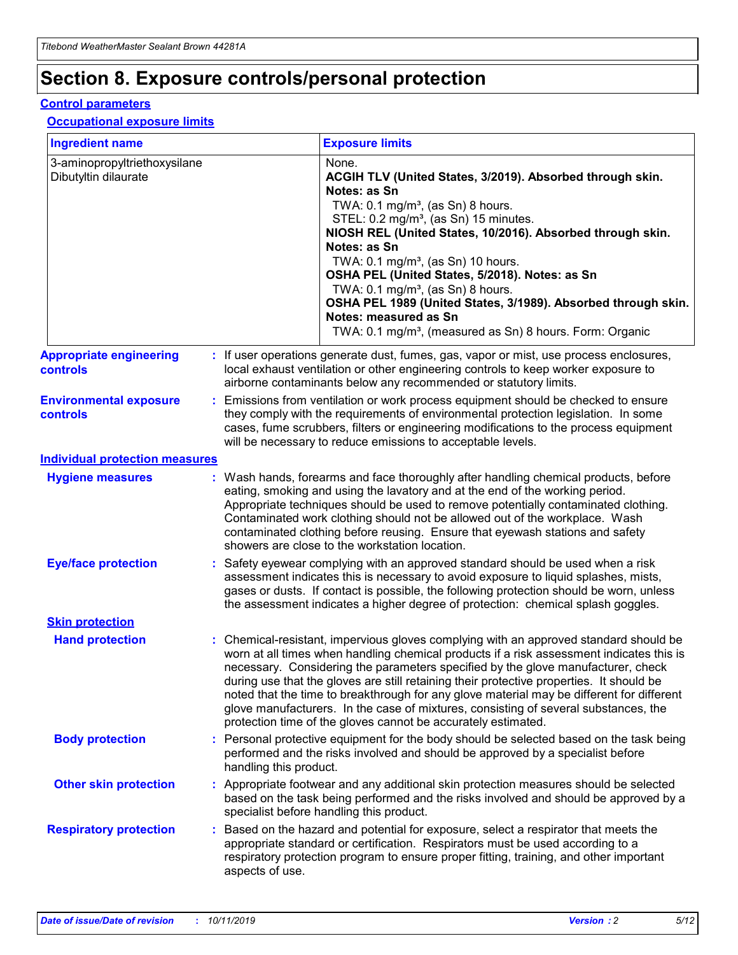## **Section 8. Exposure controls/personal protection**

#### **Control parameters**

#### **Occupational exposure limits**

| <b>Ingredient name</b>                               |    |                        | <b>Exposure limits</b>                                                                                                                                                                                                                                                                                                                                                                                                                                                                                                                                                                                                 |
|------------------------------------------------------|----|------------------------|------------------------------------------------------------------------------------------------------------------------------------------------------------------------------------------------------------------------------------------------------------------------------------------------------------------------------------------------------------------------------------------------------------------------------------------------------------------------------------------------------------------------------------------------------------------------------------------------------------------------|
| 3-aminopropyltriethoxysilane<br>Dibutyltin dilaurate |    |                        | None.<br>ACGIH TLV (United States, 3/2019). Absorbed through skin.<br>Notes: as Sn<br>TWA: $0.1 \text{ mg/m}^3$ , (as Sn) 8 hours.<br>STEL: 0.2 mg/m <sup>3</sup> , (as Sn) 15 minutes.<br>NIOSH REL (United States, 10/2016). Absorbed through skin.<br>Notes: as Sn<br>TWA: 0.1 mg/m <sup>3</sup> , (as Sn) 10 hours.<br>OSHA PEL (United States, 5/2018). Notes: as Sn<br>TWA: $0.1 \text{ mg/m}^3$ , (as Sn) 8 hours.<br>OSHA PEL 1989 (United States, 3/1989). Absorbed through skin.<br>Notes: measured as Sn<br>TWA: 0.1 mg/m <sup>3</sup> , (measured as Sn) 8 hours. Form: Organic                            |
| <b>Appropriate engineering</b><br>controls           |    |                        | : If user operations generate dust, fumes, gas, vapor or mist, use process enclosures,<br>local exhaust ventilation or other engineering controls to keep worker exposure to<br>airborne contaminants below any recommended or statutory limits.                                                                                                                                                                                                                                                                                                                                                                       |
| <b>Environmental exposure</b><br>controls            |    |                        | Emissions from ventilation or work process equipment should be checked to ensure<br>they comply with the requirements of environmental protection legislation. In some<br>cases, fume scrubbers, filters or engineering modifications to the process equipment<br>will be necessary to reduce emissions to acceptable levels.                                                                                                                                                                                                                                                                                          |
| <b>Individual protection measures</b>                |    |                        |                                                                                                                                                                                                                                                                                                                                                                                                                                                                                                                                                                                                                        |
| <b>Hygiene measures</b>                              |    |                        | : Wash hands, forearms and face thoroughly after handling chemical products, before<br>eating, smoking and using the lavatory and at the end of the working period.<br>Appropriate techniques should be used to remove potentially contaminated clothing.<br>Contaminated work clothing should not be allowed out of the workplace. Wash<br>contaminated clothing before reusing. Ensure that eyewash stations and safety<br>showers are close to the workstation location.                                                                                                                                            |
| <b>Eye/face protection</b>                           |    |                        | : Safety eyewear complying with an approved standard should be used when a risk<br>assessment indicates this is necessary to avoid exposure to liquid splashes, mists,<br>gases or dusts. If contact is possible, the following protection should be worn, unless<br>the assessment indicates a higher degree of protection: chemical splash goggles.                                                                                                                                                                                                                                                                  |
| <b>Skin protection</b>                               |    |                        |                                                                                                                                                                                                                                                                                                                                                                                                                                                                                                                                                                                                                        |
| <b>Hand protection</b>                               |    |                        | : Chemical-resistant, impervious gloves complying with an approved standard should be<br>worn at all times when handling chemical products if a risk assessment indicates this is<br>necessary. Considering the parameters specified by the glove manufacturer, check<br>during use that the gloves are still retaining their protective properties. It should be<br>noted that the time to breakthrough for any glove material may be different for different<br>glove manufacturers. In the case of mixtures, consisting of several substances, the<br>protection time of the gloves cannot be accurately estimated. |
| <b>Body protection</b>                               |    | handling this product. | Personal protective equipment for the body should be selected based on the task being<br>performed and the risks involved and should be approved by a specialist before                                                                                                                                                                                                                                                                                                                                                                                                                                                |
| <b>Other skin protection</b>                         |    |                        | : Appropriate footwear and any additional skin protection measures should be selected<br>based on the task being performed and the risks involved and should be approved by a<br>specialist before handling this product.                                                                                                                                                                                                                                                                                                                                                                                              |
| <b>Respiratory protection</b>                        | ÷. | aspects of use.        | Based on the hazard and potential for exposure, select a respirator that meets the<br>appropriate standard or certification. Respirators must be used according to a<br>respiratory protection program to ensure proper fitting, training, and other important                                                                                                                                                                                                                                                                                                                                                         |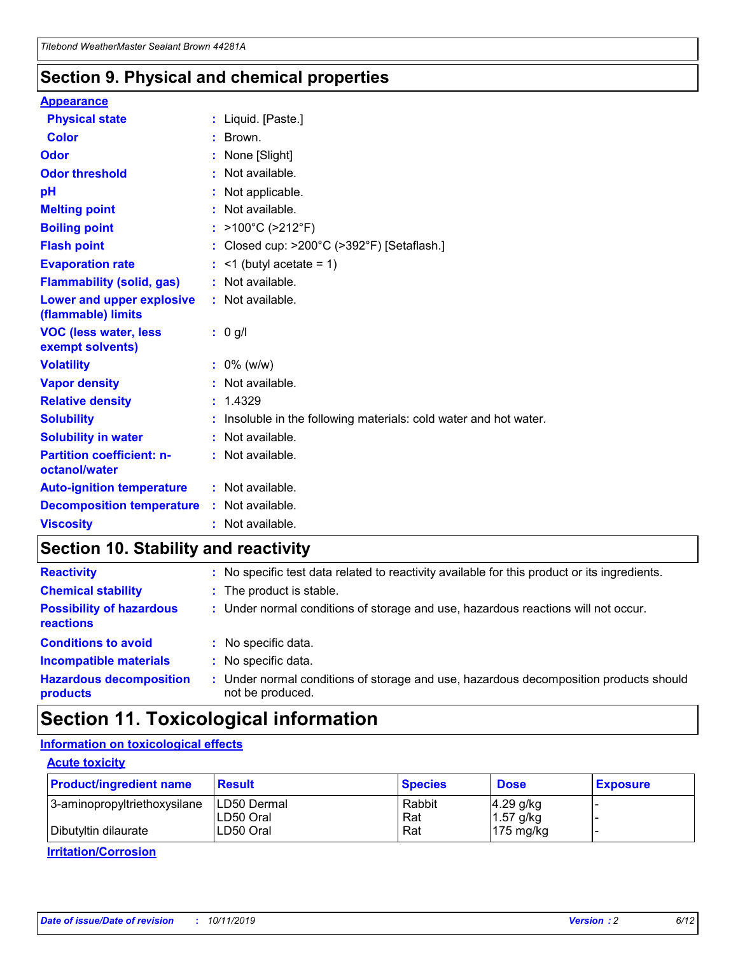### **Section 9. Physical and chemical properties**

#### **Appearance**

| <b>Physical state</b>                             | : Liquid. [Paste.]                                              |
|---------------------------------------------------|-----------------------------------------------------------------|
| Color                                             | $\therefore$ Brown.                                             |
| Odor                                              | : None [Slight]                                                 |
| <b>Odor threshold</b>                             | $:$ Not available.                                              |
| рH                                                | : Not applicable.                                               |
| <b>Melting point</b>                              | : Not available.                                                |
| <b>Boiling point</b>                              | : >100°C (>212°F)                                               |
| <b>Flash point</b>                                | : Closed cup: $>200^{\circ}$ C ( $>392^{\circ}$ F) [Setaflash.] |
| <b>Evaporation rate</b>                           | $:$ <1 (butyl acetate = 1)                                      |
| <b>Flammability (solid, gas)</b>                  | : Not available.                                                |
| Lower and upper explosive<br>(flammable) limits   | : Not available.                                                |
| <b>VOC (less water, less</b><br>exempt solvents)  | $: 0$ g/l                                                       |
|                                                   |                                                                 |
| <b>Volatility</b>                                 | $: 0\%$ (w/w)                                                   |
| <b>Vapor density</b>                              | : Not available.                                                |
| <b>Relative density</b>                           | : 1.4329                                                        |
| <b>Solubility</b>                                 | Insoluble in the following materials: cold water and hot water. |
| <b>Solubility in water</b>                        | : Not available.                                                |
| <b>Partition coefficient: n-</b><br>octanol/water | $:$ Not available.                                              |
| <b>Auto-ignition temperature</b>                  | : Not available.                                                |
| <b>Decomposition temperature</b>                  | : Not available.                                                |

### **Section 10. Stability and reactivity**

| <b>Reactivity</b>                            | : No specific test data related to reactivity available for this product or its ingredients.            |
|----------------------------------------------|---------------------------------------------------------------------------------------------------------|
| <b>Chemical stability</b>                    | : The product is stable.                                                                                |
| <b>Possibility of hazardous</b><br>reactions | : Under normal conditions of storage and use, hazardous reactions will not occur.                       |
| <b>Conditions to avoid</b>                   | : No specific data.                                                                                     |
| <b>Incompatible materials</b>                | : No specific data.                                                                                     |
| <b>Hazardous decomposition</b><br>products   | Under normal conditions of storage and use, hazardous decomposition products should<br>not be produced. |

### **Section 11. Toxicological information**

#### **Information on toxicological effects**

#### **Acute toxicity**

| <b>Product/ingredient name</b> | <b>Result</b> | <b>Species</b> | <b>Dose</b>         | <b>Exposure</b> |
|--------------------------------|---------------|----------------|---------------------|-----------------|
| 3-aminopropyltriethoxysilane   | LD50 Dermal   | Rabbit         | $4.29$ g/kg         |                 |
|                                | ILD50 Oral    | Rat            | 1.57 g/kg           |                 |
| Dibutyltin dilaurate           | LD50 Oral     | Rat            | $175 \text{ mg/kg}$ |                 |

**Irritation/Corrosion**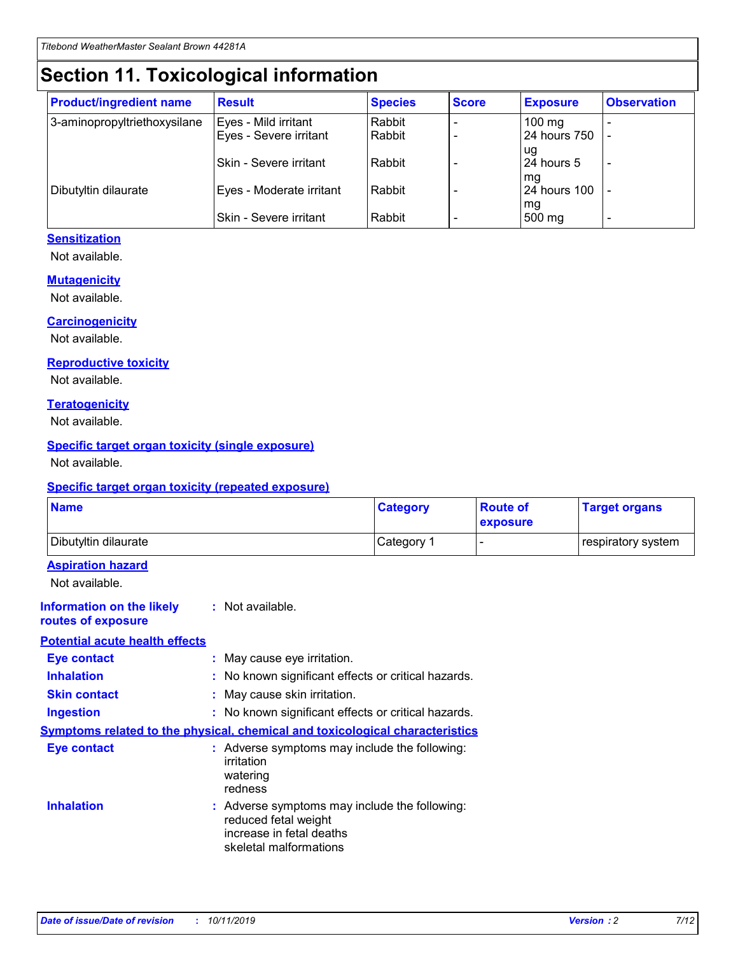## **Section 11. Toxicological information**

| <b>Product/ingredient name</b> | <b>Result</b>                 | <b>Species</b> | <b>Score</b> | <b>Exposure</b>           | <b>Observation</b> |
|--------------------------------|-------------------------------|----------------|--------------|---------------------------|--------------------|
| 3-aminopropyltriethoxysilane   | Eyes - Mild irritant          | Rabbit         |              | $100$ mg                  |                    |
|                                | Eyes - Severe irritant        | Rabbit         |              | 24 hours 750              |                    |
|                                |                               |                |              | ug                        |                    |
|                                | <b>Skin - Severe irritant</b> | Rabbit         |              | 24 hours 5                | ۰                  |
| Dibutyltin dilaurate           | Eyes - Moderate irritant      | Rabbit         |              | mq<br><b>24 hours 100</b> |                    |
|                                |                               |                |              | mg                        |                    |
|                                | Skin - Severe irritant        | Rabbit         |              | 500 mg                    |                    |

#### **Sensitization**

Not available.

#### **Mutagenicity**

Not available.

#### **Carcinogenicity**

Not available.

#### **Reproductive toxicity**

Not available.

#### **Teratogenicity**

Not available.

#### **Specific target organ toxicity (single exposure)**

Not available.

#### **Specific target organ toxicity (repeated exposure)**

| <b>Name</b>                                                                         |                                                                            | <b>Category</b>                                     | <b>Route of</b><br>exposure | <b>Target organs</b> |
|-------------------------------------------------------------------------------------|----------------------------------------------------------------------------|-----------------------------------------------------|-----------------------------|----------------------|
| Dibutyltin dilaurate                                                                |                                                                            | Category 1                                          |                             | respiratory system   |
| <b>Aspiration hazard</b><br>Not available.                                          |                                                                            |                                                     |                             |                      |
| <b>Information on the likely</b><br>routes of exposure                              | : Not available.                                                           |                                                     |                             |                      |
| <b>Potential acute health effects</b>                                               |                                                                            |                                                     |                             |                      |
| <b>Eye contact</b>                                                                  | : May cause eye irritation.                                                |                                                     |                             |                      |
| <b>Inhalation</b>                                                                   |                                                                            | : No known significant effects or critical hazards. |                             |                      |
| <b>Skin contact</b>                                                                 | : May cause skin irritation.                                               |                                                     |                             |                      |
| <b>Ingestion</b>                                                                    |                                                                            | : No known significant effects or critical hazards. |                             |                      |
| <b>Symptoms related to the physical, chemical and toxicological characteristics</b> |                                                                            |                                                     |                             |                      |
| <b>Eye contact</b>                                                                  | irritation<br>watering<br>redness                                          | : Adverse symptoms may include the following:       |                             |                      |
| <b>Inhalation</b>                                                                   | reduced fetal weight<br>increase in fetal deaths<br>skeletal malformations | : Adverse symptoms may include the following:       |                             |                      |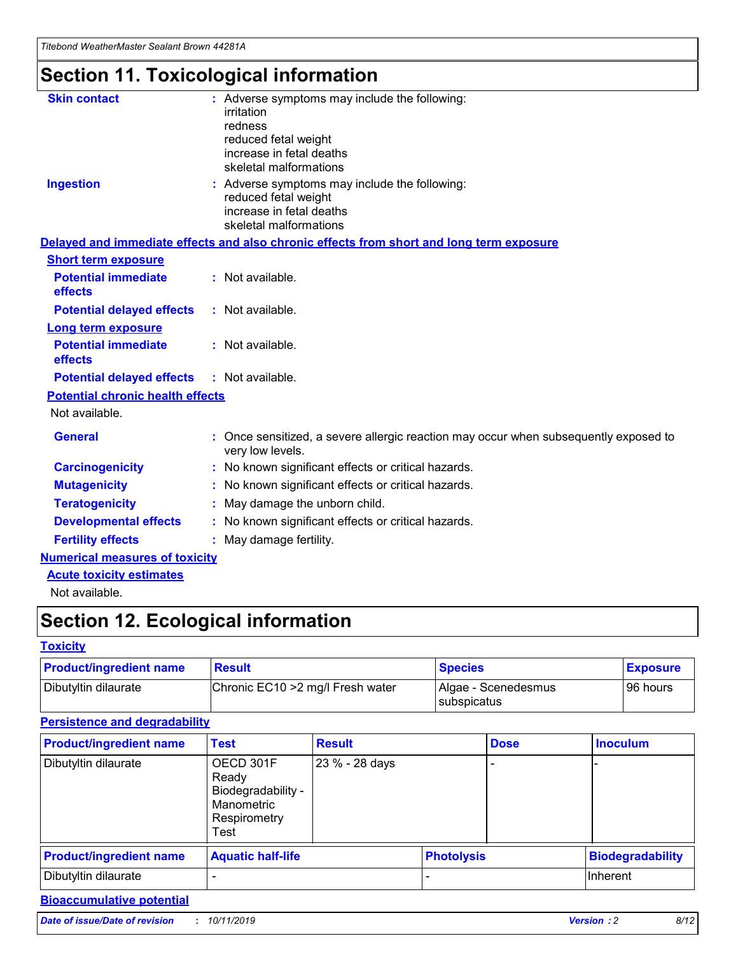## **Section 11. Toxicological information**

| <b>Skin contact</b>                     | : Adverse symptoms may include the following:<br>irritation<br>redness<br>reduced fetal weight<br>increase in fetal deaths<br>skeletal malformations |
|-----------------------------------------|------------------------------------------------------------------------------------------------------------------------------------------------------|
| <b>Ingestion</b>                        | : Adverse symptoms may include the following:<br>reduced fetal weight<br>increase in fetal deaths<br>skeletal malformations                          |
|                                         | Delayed and immediate effects and also chronic effects from short and long term exposure                                                             |
| <b>Short term exposure</b>              |                                                                                                                                                      |
| <b>Potential immediate</b><br>effects   | : Not available.                                                                                                                                     |
| <b>Potential delayed effects</b>        | : Not available.                                                                                                                                     |
| <b>Long term exposure</b>               |                                                                                                                                                      |
| <b>Potential immediate</b><br>effects   | : Not available.                                                                                                                                     |
| <b>Potential delayed effects</b>        | : Not available.                                                                                                                                     |
| <b>Potential chronic health effects</b> |                                                                                                                                                      |
| Not available.                          |                                                                                                                                                      |
| <b>General</b>                          | : Once sensitized, a severe allergic reaction may occur when subsequently exposed to<br>very low levels.                                             |
| <b>Carcinogenicity</b>                  | : No known significant effects or critical hazards.                                                                                                  |
| <b>Mutagenicity</b>                     | No known significant effects or critical hazards.                                                                                                    |
| <b>Teratogenicity</b>                   | May damage the unborn child.                                                                                                                         |
| <b>Developmental effects</b>            | No known significant effects or critical hazards.                                                                                                    |
| <b>Fertility effects</b>                | : May damage fertility.                                                                                                                              |
| <b>Numerical measures of toxicity</b>   |                                                                                                                                                      |
| <b>Acute toxicity estimates</b>         |                                                                                                                                                      |
|                                         |                                                                                                                                                      |

Not available.

## **Section 12. Ecological information**

#### **Toxicity**

| <b>Product/ingredient name</b> | <b>Result</b>                     | <b>Species</b>                       | <b>Exposure</b> |
|--------------------------------|-----------------------------------|--------------------------------------|-----------------|
| Dibutyltin dilaurate           | Chronic EC10 > 2 mg/l Fresh water | Algae - Scenedesmus<br>I subspicatus | l 96 hours      |

### **Persistence and degradability**

| <b>Product/ingredient name</b> | <b>Test</b>                                                                    | <b>Result</b>  |                   | <b>Dose</b> | <b>Inoculum</b>         |
|--------------------------------|--------------------------------------------------------------------------------|----------------|-------------------|-------------|-------------------------|
| Dibutyltin dilaurate           | OECD 301F<br>Ready<br>Biodegradability -<br>Manometric<br>Respirometry<br>Test | 23 % - 28 days |                   |             |                         |
| <b>Product/ingredient name</b> | <b>Aquatic half-life</b>                                                       |                | <b>Photolysis</b> |             | <b>Biodegradability</b> |
| Dibutyltin dilaurate           |                                                                                |                |                   |             | Inherent                |

#### **Bioaccumulative potential**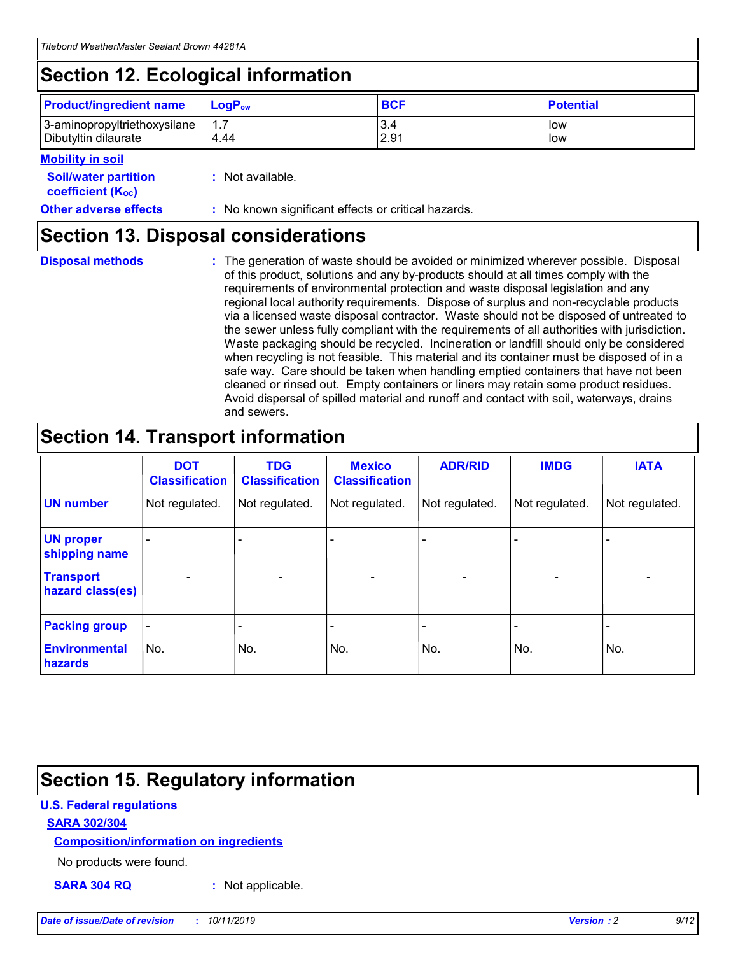## **Section 12. Ecological information**

| <b>Product/ingredient name</b> | $LoaPow$ | <b>BCF</b> | <b>Potential</b> |
|--------------------------------|----------|------------|------------------|
| 3-aminopropyltriethoxysilane   | 1.7      | 3.4        | low              |
| Dibutyltin dilaurate           | 4.44     | 2.91       | low              |

#### **Mobility in soil**

| <b>Soil/water partition</b><br>coefficient (K <sub>oc</sub> ) | : Not available.                                    |
|---------------------------------------------------------------|-----------------------------------------------------|
| <b>Other adverse effects</b>                                  | : No known significant effects or critical hazards. |

### **Section 13. Disposal considerations**

**Disposal methods :**

The generation of waste should be avoided or minimized wherever possible. Disposal of this product, solutions and any by-products should at all times comply with the requirements of environmental protection and waste disposal legislation and any regional local authority requirements. Dispose of surplus and non-recyclable products via a licensed waste disposal contractor. Waste should not be disposed of untreated to the sewer unless fully compliant with the requirements of all authorities with jurisdiction. Waste packaging should be recycled. Incineration or landfill should only be considered when recycling is not feasible. This material and its container must be disposed of in a safe way. Care should be taken when handling emptied containers that have not been cleaned or rinsed out. Empty containers or liners may retain some product residues. Avoid dispersal of spilled material and runoff and contact with soil, waterways, drains and sewers.

## **Section 14. Transport information**

|                                      | <b>DOT</b><br><b>Classification</b> | <b>TDG</b><br><b>Classification</b> | <b>Mexico</b><br><b>Classification</b> | <b>ADR/RID</b> | <b>IMDG</b>              | <b>IATA</b>              |
|--------------------------------------|-------------------------------------|-------------------------------------|----------------------------------------|----------------|--------------------------|--------------------------|
| <b>UN number</b>                     | Not regulated.                      | Not regulated.                      | Not regulated.                         | Not regulated. | Not regulated.           | Not regulated.           |
| <b>UN proper</b><br>shipping name    | $\blacksquare$                      |                                     |                                        |                |                          |                          |
| <b>Transport</b><br>hazard class(es) | $\blacksquare$                      | $\overline{\phantom{a}}$            | $\blacksquare$                         | $\blacksquare$ | $\overline{\phantom{a}}$ | $\blacksquare$           |
| <b>Packing group</b>                 | $\overline{\phantom{a}}$            | $\overline{\phantom{0}}$            | $\overline{\phantom{a}}$               | -              | $\overline{\phantom{0}}$ | $\overline{\phantom{a}}$ |
| <b>Environmental</b><br>hazards      | No.                                 | No.                                 | No.                                    | No.            | No.                      | No.                      |

## **Section 15. Regulatory information**

#### **U.S. Federal regulations**

#### **SARA 302/304**

#### **Composition/information on ingredients**

No products were found.

**SARA 304 RQ :** Not applicable.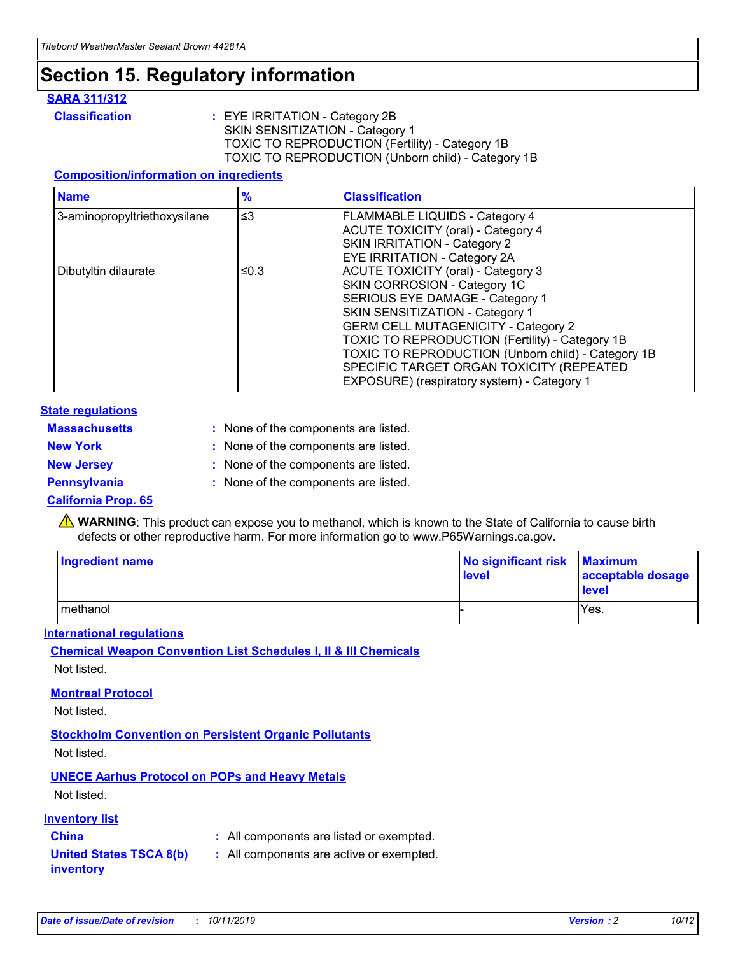## **Section 15. Regulatory information**

#### **SARA 311/312**

**Classification :** EYE IRRITATION - Category 2B SKIN SENSITIZATION - Category 1 TOXIC TO REPRODUCTION (Fertility) - Category 1B TOXIC TO REPRODUCTION (Unborn child) - Category 1B

#### **Composition/information on ingredients**

| <b>Name</b>                  | $\frac{9}{6}$ | <b>Classification</b>                                                                                            |
|------------------------------|---------------|------------------------------------------------------------------------------------------------------------------|
| 3-aminopropyltriethoxysilane | $\leq$ 3      | <b>FLAMMABLE LIQUIDS - Category 4</b><br><b>ACUTE TOXICITY (oral) - Category 4</b>                               |
|                              |               | SKIN IRRITATION - Category 2<br>EYE IRRITATION - Category 2A                                                     |
| Dibutyltin dilaurate         | ≤0.3          | ACUTE TOXICITY (oral) - Category 3<br>SKIN CORROSION - Category 1C                                               |
|                              |               | SERIOUS EYE DAMAGE - Category 1<br>SKIN SENSITIZATION - Category 1<br><b>GERM CELL MUTAGENICITY - Category 2</b> |
|                              |               | TOXIC TO REPRODUCTION (Fertility) - Category 1B<br>TOXIC TO REPRODUCTION (Unborn child) - Category 1B            |
|                              |               | SPECIFIC TARGET ORGAN TOXICITY (REPEATED<br>EXPOSURE) (respiratory system) - Category 1                          |

#### **State regulations**

| <b>Massachusetts</b> | : None of the components are listed. |
|----------------------|--------------------------------------|
| <b>New York</b>      | : None of the components are listed. |
| <b>New Jersey</b>    | : None of the components are listed. |
| Pennsylvania         | : None of the components are listed. |

#### **California Prop. 65**

**A** WARNING: This product can expose you to methanol, which is known to the State of California to cause birth defects or other reproductive harm. For more information go to www.P65Warnings.ca.gov.

| <b>Ingredient name</b> | No significant risk Maximum<br>level | acceptable dosage<br>level |
|------------------------|--------------------------------------|----------------------------|
| methanol               |                                      | Yes.                       |

#### **International regulations**

**Chemical Weapon Convention List Schedules I, II & III Chemicals** Not listed.

#### **Montreal Protocol**

Not listed.

#### **Stockholm Convention on Persistent Organic Pollutants**

Not listed.

#### **UNECE Aarhus Protocol on POPs and Heavy Metals**

Not listed.

#### **Inventory list**

### **China :** All components are listed or exempted.

**United States TSCA 8(b) inventory :** All components are active or exempted.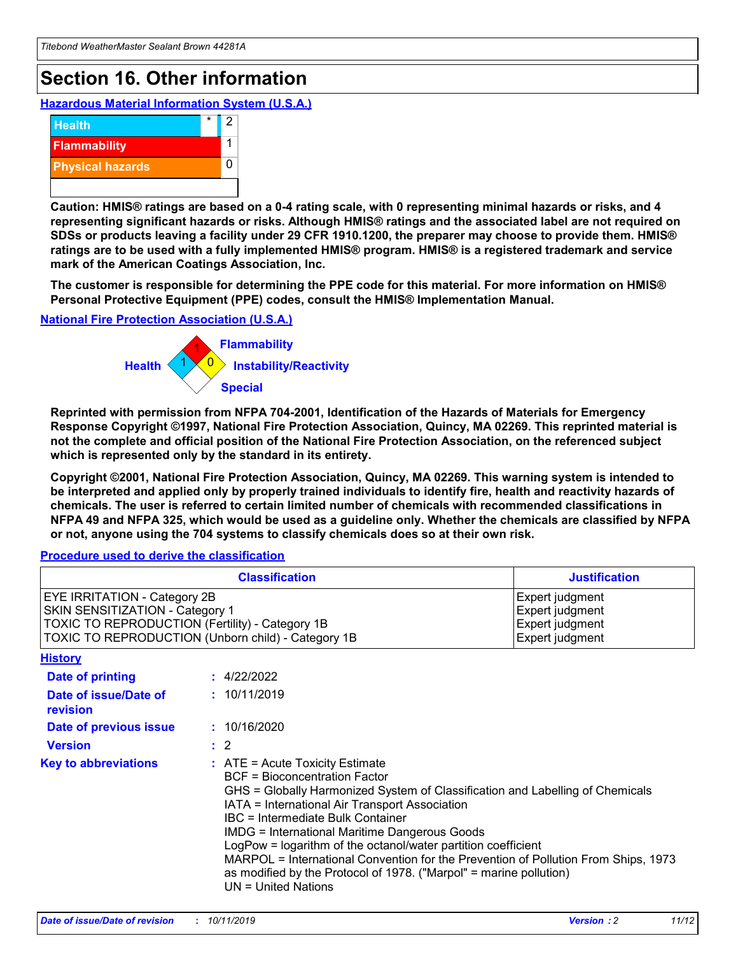## **Section 16. Other information**

**Hazardous Material Information System (U.S.A.)**



**Caution: HMIS® ratings are based on a 0-4 rating scale, with 0 representing minimal hazards or risks, and 4 representing significant hazards or risks. Although HMIS® ratings and the associated label are not required on SDSs or products leaving a facility under 29 CFR 1910.1200, the preparer may choose to provide them. HMIS® ratings are to be used with a fully implemented HMIS® program. HMIS® is a registered trademark and service mark of the American Coatings Association, Inc.**

**The customer is responsible for determining the PPE code for this material. For more information on HMIS® Personal Protective Equipment (PPE) codes, consult the HMIS® Implementation Manual.**

#### **National Fire Protection Association (U.S.A.)**



**Reprinted with permission from NFPA 704-2001, Identification of the Hazards of Materials for Emergency Response Copyright ©1997, National Fire Protection Association, Quincy, MA 02269. This reprinted material is not the complete and official position of the National Fire Protection Association, on the referenced subject which is represented only by the standard in its entirety.**

**Copyright ©2001, National Fire Protection Association, Quincy, MA 02269. This warning system is intended to be interpreted and applied only by properly trained individuals to identify fire, health and reactivity hazards of chemicals. The user is referred to certain limited number of chemicals with recommended classifications in NFPA 49 and NFPA 325, which would be used as a guideline only. Whether the chemicals are classified by NFPA or not, anyone using the 704 systems to classify chemicals does so at their own risk.**

#### **Procedure used to derive the classification**

| <b>Classification</b>                                                                                                                                                    |                                                                                                                                                                                                                                                                                                                                                                                                                                                                                                                                                               | <b>Justification</b>                                                     |
|--------------------------------------------------------------------------------------------------------------------------------------------------------------------------|---------------------------------------------------------------------------------------------------------------------------------------------------------------------------------------------------------------------------------------------------------------------------------------------------------------------------------------------------------------------------------------------------------------------------------------------------------------------------------------------------------------------------------------------------------------|--------------------------------------------------------------------------|
| EYE IRRITATION - Category 2B<br>SKIN SENSITIZATION - Category 1<br>TOXIC TO REPRODUCTION (Fertility) - Category 1B<br>TOXIC TO REPRODUCTION (Unborn child) - Category 1B |                                                                                                                                                                                                                                                                                                                                                                                                                                                                                                                                                               | Expert judgment<br>Expert judgment<br>Expert judgment<br>Expert judgment |
| <b>History</b>                                                                                                                                                           |                                                                                                                                                                                                                                                                                                                                                                                                                                                                                                                                                               |                                                                          |
| Date of printing                                                                                                                                                         | : 4/22/2022                                                                                                                                                                                                                                                                                                                                                                                                                                                                                                                                                   |                                                                          |
| Date of issue/Date of<br>revision                                                                                                                                        | : 10/11/2019                                                                                                                                                                                                                                                                                                                                                                                                                                                                                                                                                  |                                                                          |
| Date of previous issue                                                                                                                                                   | : 10/16/2020                                                                                                                                                                                                                                                                                                                                                                                                                                                                                                                                                  |                                                                          |
| <b>Version</b>                                                                                                                                                           | $\therefore$ 2                                                                                                                                                                                                                                                                                                                                                                                                                                                                                                                                                |                                                                          |
| <b>Key to abbreviations</b>                                                                                                                                              | $:$ ATE = Acute Toxicity Estimate<br><b>BCF</b> = Bioconcentration Factor<br>GHS = Globally Harmonized System of Classification and Labelling of Chemicals<br>IATA = International Air Transport Association<br>IBC = Intermediate Bulk Container<br><b>IMDG = International Maritime Dangerous Goods</b><br>LogPow = logarithm of the octanol/water partition coefficient<br>MARPOL = International Convention for the Prevention of Pollution From Ships, 1973<br>as modified by the Protocol of 1978. ("Marpol" = marine pollution)<br>UN = United Nations |                                                                          |